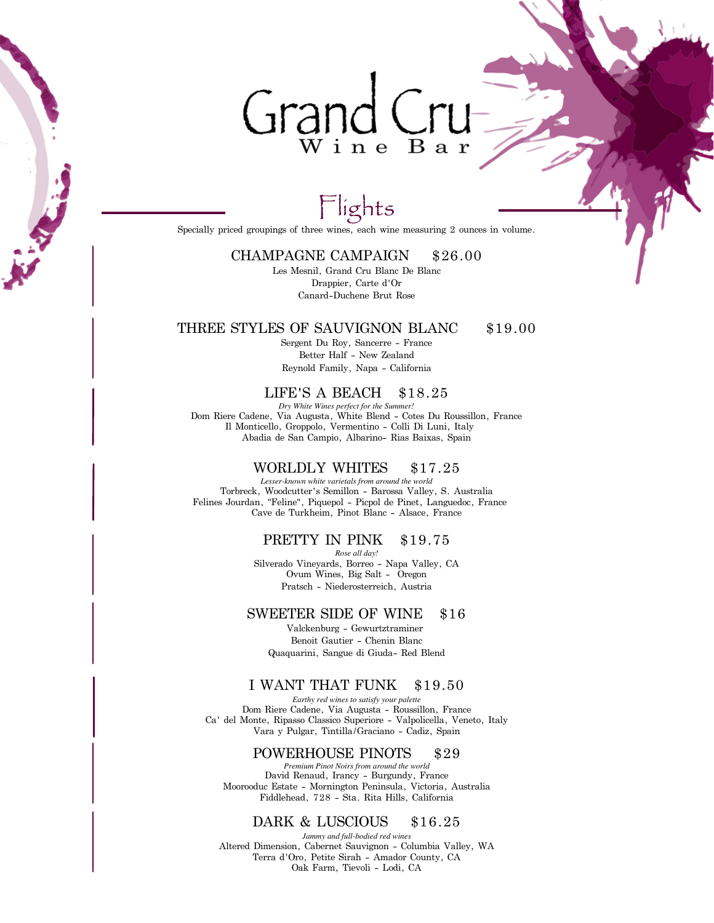## Grand Cru Wine Bar

### Flights

Specially priced groupings of three wines, each wine measuring 2 ounces in volume.

#### CHAMPAGNE CAMPAIGN \$26.00

Les Mesnil, Grand Cru Blanc De Blanc Drappier, Carte d'Or Canard-Duchene Brut Rose

#### THREE STYLES OF SAUVIGNON BLANC \$19.00

Sergent Du Roy, Sancerre - France Better Half - New Zealand Reynold Family, Napa - California

LIFE'S A BEACH \$18.25

Dom Riere Cadene, Via Augusta, White Blend - Cotes Du Roussillon, France Il Monticello, Groppolo, Vermentino - Colli Di Luni, Italy Abadia de San Campio, Albarino- Rias Baixas, Spain *Dry White Wines perfect for the Summer!*

#### WORLDLY WHITES \$17.25

Torbreck, Woodcutter's Semillon - Barossa Valley, S. Australia Felines Jourdan, "Feline", Piquepol - Picpol de Pinet, Languedoc, France Cave de Turkheim, Pinot Blanc - Alsace, France *Lesser-known white varietals from around the world*

#### PRETTY IN PINK \$19.75

Silverado Vineyards, Borreo - Napa Valley, CA Ovum Wines, Big Salt - Oregon *Rose all day!* Pratsch - Niederosterreich, Austria

#### SWEETER SIDE OF WINE \$16

Valckenburg - Gewurtztraminer Benoit Gautier - Chenin Blanc Quaquarini, Sangue di Giuda- Red Blend

#### I WANT THAT FUNK \$19.50

Dom Riere Cadene, Via Augusta - Roussillon, France Ca' del Monte, Ripasso Classico Superiore - Valpolicella, Veneto, Italy Vara y Pulgar, Tintilla/Graciano - Cadiz, Spain *Earthy red wines to satisfy your palette*

#### POWERHOUSE PINOTS \$29

David Renaud, Irancy - Burgundy, France Moorooduc Estate - Mornington Peninsula, Victoria, Australia Fiddlehead, 728 - Sta. Rita Hills, California *Premium Pinot Noirs from around the world*

#### DARK & LUSCIOUS \$16.25

Altered Dimension, Cabernet Sauvignon - Columbia Valley, WA Terra d'Oro, Petite Sirah - Amador County, CA Oak Farm, Tievoli - Lodi, CA *Jammy and full-bodied red wines*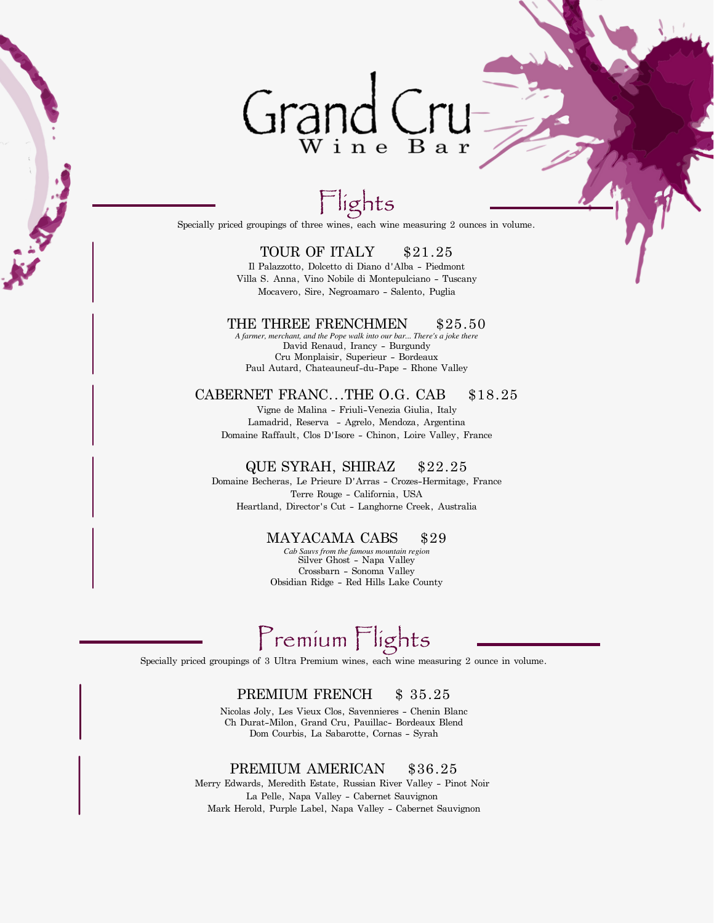### Grand ( Wine Bar

### lights

Specially priced groupings of three wines, each wine measuring 2 ounces in volume.

#### TOUR OF ITALY \$21.25

Il Palazzotto, Dolcetto di Diano d'Alba - Piedmont Villa S. Anna, Vino Nobile di Montepulciano - Tuscany Mocavero, Sire, Negroamaro - Salento, Puglia

#### THE THREE FRENCHMEN \$25.50

David Renaud, Irancy - Burgundy Cru Monplaisir, Superieur - Bordeaux Paul Autard, Chateauneuf-du-Pape - Rhone Valley *A farmer, merchant, and the Pope walk into our bar... There's a joke there*

#### CABERNET FRANC...THE O.G. CAB \$18.25

Vigne de Malina - Friuli-Venezia Giulia, Italy Lamadrid, Reserva - Agrelo, Mendoza, Argentina Domaine Raffault, Clos D'Isore - Chinon, Loire Valley, France

#### QUE SYRAH, SHIRAZ \$22.25

Domaine Becheras, Le Prieure D'Arras - Crozes-Hermitage, France Terre Rouge - California, USA Heartland, Director's Cut - Langhorne Creek, Australia

#### MAYACAMA CABS \$29

Silver Ghost - Napa Valley Crossbarn - Sonoma Valley Obsidian Ridge - Red Hills Lake County *Cab Sauvs from the famous mountain region*

### Premium Flights

Specially priced groupings of 3 Ultra Premium wines, each wine measuring 2 ounce in volume.

#### PREMIUM FRENCH \$35.25

Nicolas Joly, Les Vieux Clos, Savennieres - Chenin Blanc Ch Durat-Milon, Grand Cru, Pauillac- Bordeaux Blend Dom Courbis, La Sabarotte, Cornas - Syrah

#### PREMIUM AMERICAN \$36.25

Merry Edwards, Meredith Estate, Russian River Valley - Pinot Noir La Pelle, Napa Valley - Cabernet Sauvignon Mark Herold, Purple Label, Napa Valley - Cabernet Sauvignon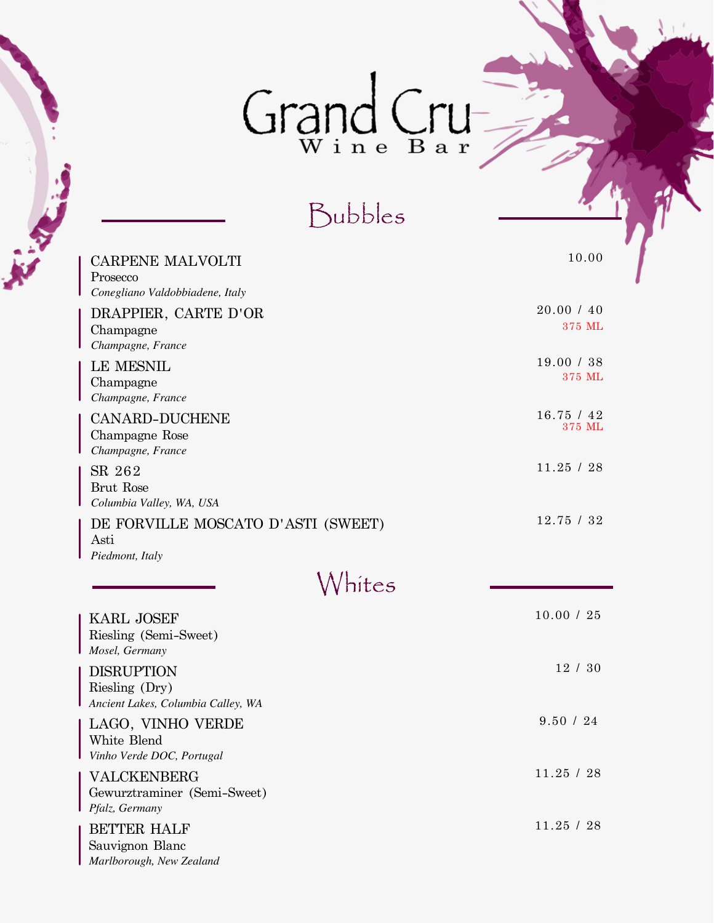# $Graphed$

Bubbles

**RECEIVED** 

| <b>CARPENE MALVOLTI</b><br>Prosecco<br>Conegliano Valdobbiadene, Italy    | 10.00                |
|---------------------------------------------------------------------------|----------------------|
| DRAPPIER, CARTE D'OR<br>Champagne<br>Champagne, France                    | 20.00 / 40<br>375 ML |
| <b>LE MESNIL</b><br>Champagne<br>Champagne, France                        | 19.00 / 38<br>375 ML |
| <b>CANARD-DUCHENE</b><br>Champagne Rose<br>Champagne, France              | 16.75 / 42<br>375 ML |
| SR 262<br>Brut Rose<br>Columbia Valley, WA, USA                           | 11.25 / 28           |
| DE FORVILLE MOSCATO D'ASTI (SWEET)<br>Asti<br>Piedmont, Italy             | 12.75 / 32           |
| 'hites                                                                    |                      |
| <b>KARL JOSEF</b><br>Riesling (Semi-Sweet)<br>Mosel, Germany              | 10.00 / 25           |
| <b>DISRUPTION</b><br>Riesling (Dry)<br>Ancient Lakes, Columbia Calley, WA | 12/30                |
| LAGO, VINHO VERDE<br>White Blend<br>Vinho Verde DOC, Portugal             | 9.50 / 24            |
| VALCKENBERG<br>Gewurztraminer (Semi-Sweet)<br>Pfalz, Germany              | 11.25 / 28           |
| <b>BETTER HALF</b><br>Sauvignon Blanc<br>Marlborough, New Zealand         | 11.25 / 28           |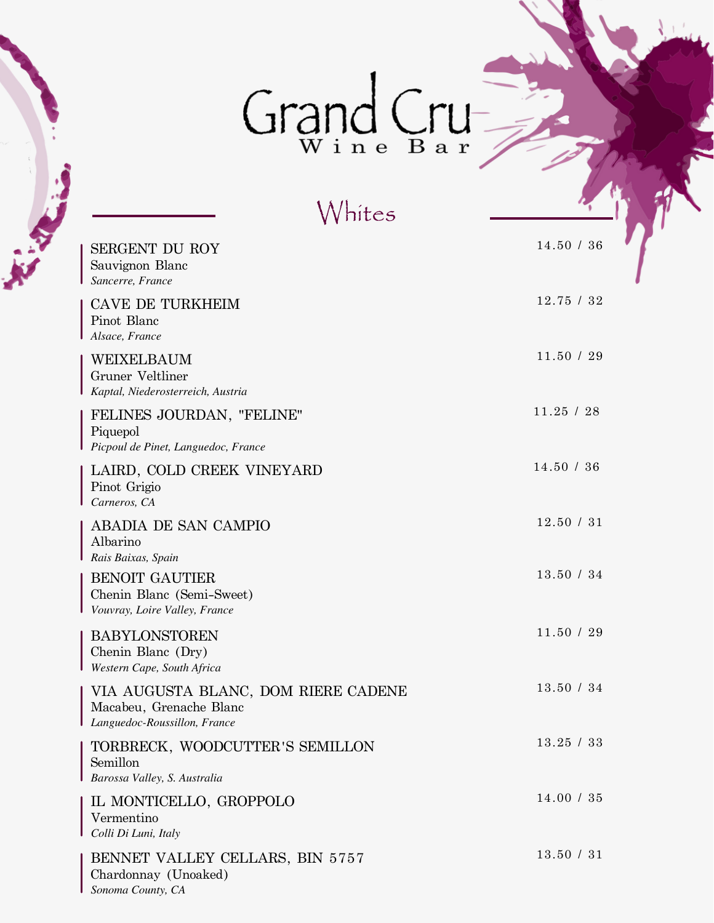# $Graphed$

| Whites                                                                                         |            |
|------------------------------------------------------------------------------------------------|------------|
| <b>SERGENT DU ROY</b><br>Sauvignon Blanc<br>Sancerre, France                                   | 14.50 / 36 |
| <b>CAVE DE TURKHEIM</b><br>Pinot Blanc<br>Alsace, France                                       | 12.75 / 32 |
| WEIXELBAUM<br>Gruner Veltliner<br>Kaptal, Niederosterreich, Austria                            | 11.50 / 29 |
| FELINES JOURDAN, "FELINE"<br>Piquepol<br>Picpoul de Pinet, Languedoc, France                   | 11.25 / 28 |
| LAIRD, COLD CREEK VINEYARD<br>Pinot Grigio<br>Carneros, CA                                     | 14.50 / 36 |
| <b>ABADIA DE SAN CAMPIO</b><br>Albarino<br>Rais Baixas, Spain                                  | 12.50 / 31 |
| <b>BENOIT GAUTIER</b><br>Chenin Blanc (Semi-Sweet)<br>Vouvray, Loire Valley, France            | 13.50 / 34 |
| <b>BABYLONSTOREN</b><br>Chenin Blanc (Dry)<br>Western Cape, South Africa                       | 11.50 / 29 |
| VIA AUGUSTA BLANC, DOM RIERE CADENE<br>Macabeu, Grenache Blanc<br>Languedoc-Roussillon, France | 13.50 / 34 |
| TORBRECK, WOODCUTTER'S SEMILLON<br>Semillon<br>Barossa Valley, S. Australia                    | 13.25 / 33 |
| IL MONTICELLO, GROPPOLO<br>Vermentino<br>Colli Di Luni, Italy                                  | 14.00 / 35 |
| BENNET VALLEY CELLARS, BIN 5757<br>Chardonnay (Unoaked)<br>Sonoma County, CA                   | 13.50 / 31 |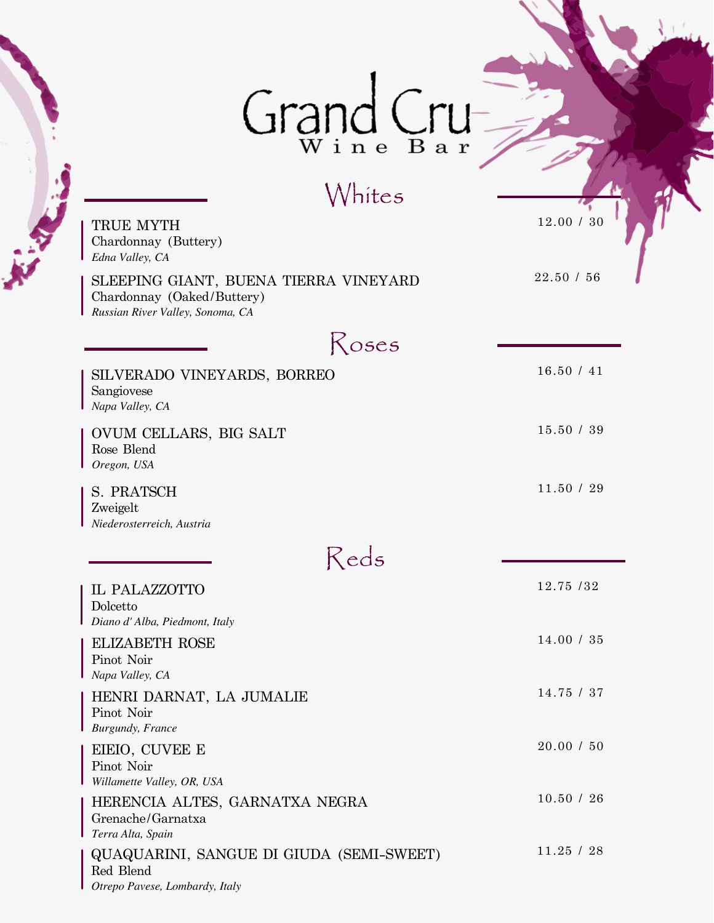# Grand Cru-

### Whites

**AV** 

| TRUE MYTH<br>Chardonnay (Buttery)<br>Edna Valley, CA                                                    | 12.00 / 30 |
|---------------------------------------------------------------------------------------------------------|------------|
| SLEEPING GIANT, BUENA TIERRA VINEYARD<br>Chardonnay (Oaked/Buttery)<br>Russian River Valley, Sonoma, CA | 22.50 / 56 |
| Roses                                                                                                   |            |
| SILVERADO VINEYARDS, BORREO<br>Sangiovese<br>Napa Valley, CA                                            | 16.50 / 41 |
| OVUM CELLARS, BIG SALT<br>Rose Blend<br>Oregon, USA                                                     | 15.50 / 39 |
| S. PRATSCH<br>Zweigelt<br>Niederosterreich, Austria                                                     | 11.50 / 29 |
| Reds                                                                                                    |            |
| IL PALAZZOTTO<br>Dolcetto<br>Diano d'Alba, Piedmont, Italy                                              | 12.75 /32  |
| <b>ELIZABETH ROSE</b><br>Pinot Noir<br>Napa Valley, CA                                                  | 14.00 / 35 |
| HENRI DARNAT, LA JUMALIE<br>Pinot Noir<br><b>Burgundy</b> , France                                      | 14.75 / 37 |
| EIEIO, CUVEE E<br>Pinot Noir<br>Willamette Valley, OR, USA                                              | 20.00 / 50 |
| HERENCIA ALTES, GARNATXA NEGRA<br>Grenache/Garnatxa<br>Terra Alta, Spain                                | 10.50 / 26 |
| QUAQUARINI, SANGUE DI GIUDA (SEMI-SWEET)<br>Red Blend<br>Otrepo Pavese, Lombardy, Italy                 | 11.25 / 28 |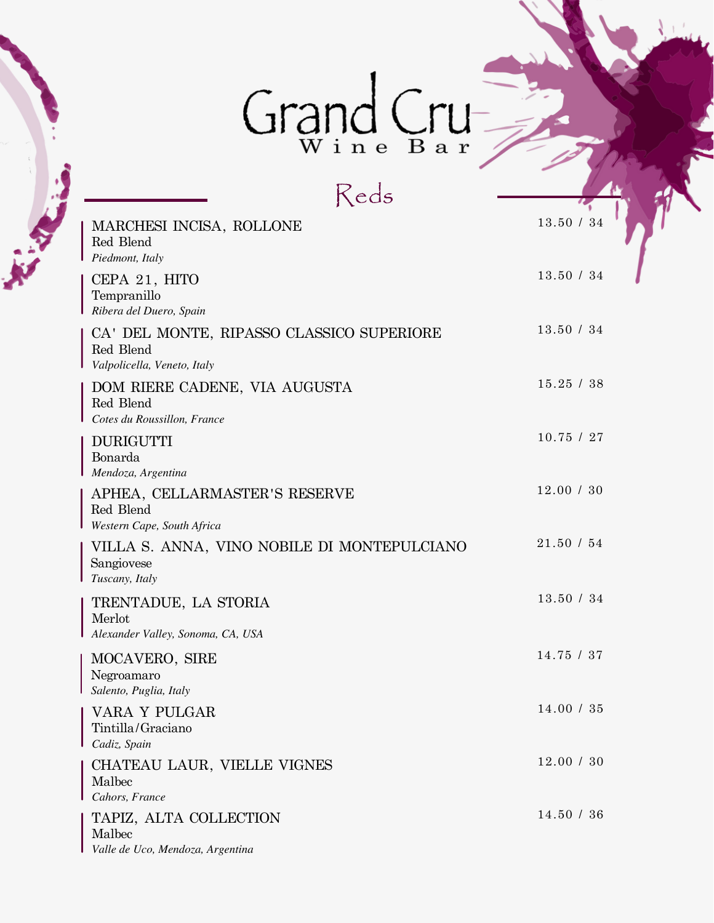# Grand Cru

Reds *Valpolicella, Veneto, Italy* CA' DEL MONTE, RIPASSO CLASSICO SUPERIORE 13.50 / 34 Red Blend *Ribera del Duero, Spain* CEPA 21, HITO  $13.50 / 34$ Tempranillo *Cotes du Roussillon, France* DOM RIERE CADENE, VIA AUGUSTA 15.25 / 38 Red Blend *Mendoza, Argentina* DURIGUTTI 10.75 / 27 Bonarda TAPIZ, ALTA COLLECTION 14.50 / 36 *Cahors, France* CHATEAU LAUR, VIELLE VIGNES 12.00 / 30 Malbec *Alexander Valley, Sonoma, CA, USA* TRENTADUE, LA STORIA 13.50 / 34 Merlot *Piedmont, Italy* MARCHESI INCISA, ROLLONE  $13.50 / 34$ Red Blend *Western Cape, South Africa* APHEA, CELLARMASTER'S RESERVE 12.00 / 30 Red Blend *Tuscany, Italy* VILLA S. ANNA, VINO NOBILE DI MONTEPULCIANO 21.50 / 54 Sangiovese *Cadiz, Spain* VARA Y PULGAR 14.00 / 35 Tintilla/Graciano *Salento, Puglia, Italy* MOCAVERO, SIRE 14.75 / 37 Negroamaro

*Valle de Uco, Mendoza, Argentina* Malbec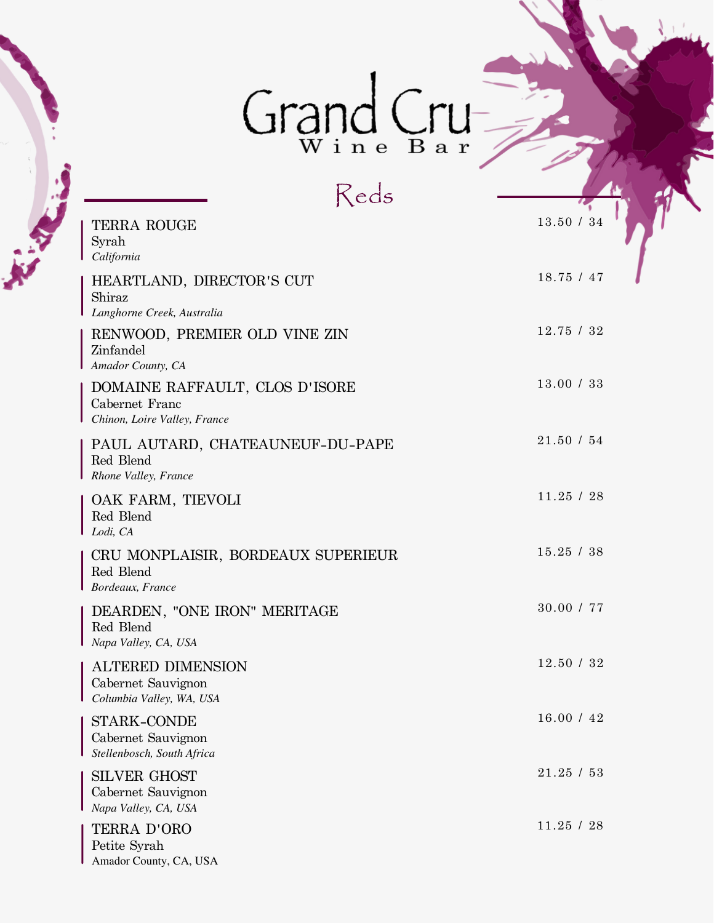# Grand Cru

Reds *California* TERRA ROUGE 13.50 / 34 Syrah *Langhorne Creek, Australia* HEARTLAND, DIRECTOR'S CUT 18.75 / 47 Shiraz *Lodi, CA* OAK FARM, TIEVOLI 11.25 / 28 Red Blend *Bordeaux, France* CRU MONPLAISIR, BORDEAUX SUPERIEUR 15.25 / 38 Red Blend *Napa Valley, CA, USA* DEARDEN, "ONE IRON" MERITAGE  $$30.00\text{ / }77$$ Red Blend *Columbia Valley, WA, USA* ALTERED DIMENSION 12.50 / 32 Cabernet Sauvignon TERRA D'ORO 11.25 / 28 Petite Syrah *Stellenbosch, South Africa* 16.00 / 42 STARK-CONDE Cabernet Sauvignon *Napa Valley, CA, USA* SILVER GHOST 21.25 / 53 Cabernet Sauvignon *Rhone Valley, France* PAUL AUTARD, CHATEAUNEUF-DU-PAPE 21.50 / 54 Red Blend *Chinon, Loire Valley, France* DOMAINE RAFFAULT, CLOS D'ISORE 13.00 / 33 Cabernet Franc *Amador County, CA* RENWOOD, PREMIER OLD VINE ZIN 12.75 / 32 Zinfandel

Amador County, CA, USA